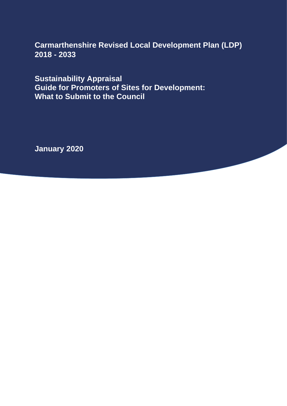**Carmarthenshire Revised Local Development Plan (LDP) 2018 - 2033**

**Sustainability Appraisal Guide for Promoters of Sites for Development: What to Submit to the Council**

**January 2020**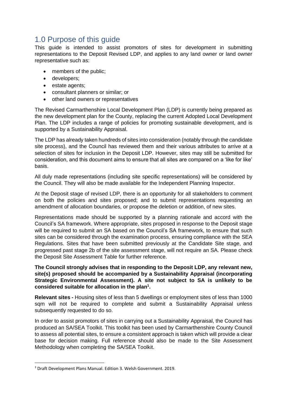## 1.0 Purpose of this guide

This guide is intended to assist promotors of sites for development in submitting representations to the Deposit Revised LDP, and applies to any land owner or land owner representative such as:

- members of the public;
- developers;
- estate agents;
- consultant planners or similar; or
- other land owners or representatives

The Revised Carmarthenshire Local Development Plan (LDP) is currently being prepared as the new development plan for the County, replacing the current Adopted Local Development Plan. The LDP includes a range of policies for promoting sustainable development, and is supported by a Sustainability Appraisal.

The LDP has already taken hundreds of sites into consideration (notably through the candidate site process), and the Council has reviewed them and their various attributes to arrive at a selection of sites for inclusion in the Deposit LDP. However, sites may still be submitted for consideration, and this document aims to ensure that all sites are compared on a 'like for like' basis.

All duly made representations (including site specific representations) will be considered by the Council. They will also be made available for the Independent Planning Inspector.

At the Deposit stage of revised LDP, there is an opportunity for all stakeholders to comment on both the policies and sites proposed; and to submit representations requesting an amendment of allocation boundaries, or propose the deletion or addition, of new sites.

Representations made should be supported by a planning rationale and accord with the Council's SA framework. Where appropriate, sites proposed in response to the Deposit stage will be required to submit an SA based on the Council's SA framework, to ensure that such sites can be considered through the examination process, ensuring compliance with the SEA Regulations. Sites that have been submitted previously at the Candidate Site stage, and progressed past stage 2b of the site assessment stage, will not require an SA. Please check the Deposit Site Assessment Table for further reference.

**The Council strongly advises that in responding to the Deposit LDP, any relevant new, site(s) proposed should be accompanied by a Sustainability Appraisal (incorporating Strategic Environmental Assessment). A site not subject to SA is unlikely to be considered suitable for allocation in the plan<sup>1</sup> .**

**Relevant sites -** Housing sites of less than 5 dwellings or employment sites of less than 1000 sqm will not be required to complete and submit a Sustainability Appraisal unless subsequently requested to do so.

In order to assist promotors of sites in carrying out a Sustainability Appraisal, the Council has produced an SA/SEA Toolkit. This toolkit has been used by Carmarthenshire County Council to assess all potential sites, to ensure a consistent approach is taken which will provide a clear base for decision making. Full reference should also be made to the Site Assessment Methodology when completing the SA/SEA Toolkit.

<sup>&</sup>lt;sup>1</sup> Draft Development Plans Manual. Edition 3. Welsh Government. 2019.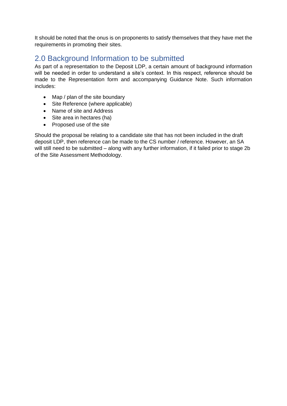It should be noted that the onus is on proponents to satisfy themselves that they have met the requirements in promoting their sites.

## 2.0 Background Information to be submitted

As part of a representation to the Deposit LDP, a certain amount of background information will be needed in order to understand a site's context. In this respect, reference should be made to the Representation form and accompanying Guidance Note. Such information includes:

- Map / plan of the site boundary
- Site Reference (where applicable)
- Name of site and Address
- Site area in hectares (ha)
- Proposed use of the site

Should the proposal be relating to a candidate site that has not been included in the draft deposit LDP, then reference can be made to the CS number / reference. However, an SA will still need to be submitted – along with any further information, if it failed prior to stage 2b of the Site Assessment Methodology.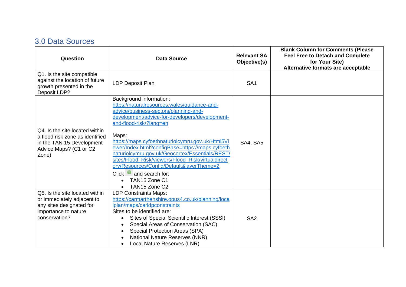## 3.0 Data Sources

| Question                                                                                                                          | <b>Data Source</b>                                                                                                                                                                                                                                                                                                                                                                                                                                                                                                                      | <b>Relevant SA</b><br>Objective(s) | <b>Blank Column for Comments (Please</b><br><b>Feel Free to Detach and Complete</b><br>for Your Site)<br>Alternative formats are acceptable |
|-----------------------------------------------------------------------------------------------------------------------------------|-----------------------------------------------------------------------------------------------------------------------------------------------------------------------------------------------------------------------------------------------------------------------------------------------------------------------------------------------------------------------------------------------------------------------------------------------------------------------------------------------------------------------------------------|------------------------------------|---------------------------------------------------------------------------------------------------------------------------------------------|
| Q1. Is the site compatible<br>against the location of future<br>growth presented in the<br>Deposit LDP?                           | <b>LDP Deposit Plan</b>                                                                                                                                                                                                                                                                                                                                                                                                                                                                                                                 | SA <sub>1</sub>                    |                                                                                                                                             |
| Q4. Is the site located within<br>a flood risk zone as identified<br>in the TAN 15 Development<br>Advice Maps? (C1 or C2<br>Zone) | Background information:<br>https://naturalresources.wales/guidance-and-<br>advice/business-sectors/planning-and-<br>development/advice-for-developers/development-<br>and-flood-risk/?lang=en<br>Maps:<br>https://maps.cyfoethnaturiolcymru.gov.uk/Html5Vi<br>ewer/Index.html?configBase=https://maps.cyfoeth<br>naturiolcymru.gov.uk/Geocortex/Essentials/REST/<br>sites/Flood Risk/viewers/Flood Risk/virtualdirect<br>ory/Resources/Config/Default&layerTheme=2<br>Click $\bullet$ and search for:<br>TAN15 Zone C1<br>TAN15 Zone C2 | <b>SA4, SA5</b>                    |                                                                                                                                             |
| Q5. Is the site located within<br>or immediately adjacent to<br>any sites designated for<br>importance to nature<br>conservation? | <b>LDP Constraints Maps:</b><br>https://carmarthenshire.opus4.co.uk/planning/loca<br>Iplan/maps/carldpconstraints<br>Sites to be identified are:<br>Sites of Special Scientific Interest (SSSI)<br>$\bullet$<br>Special Areas of Conservation (SAC)<br>Special Protection Areas (SPA)<br>National Nature Reserves (NNR)<br>Local Nature Reserves (LNR)                                                                                                                                                                                  | SA <sub>2</sub>                    |                                                                                                                                             |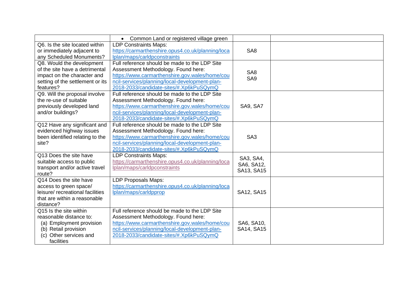|                                     | Common Land or registered village green<br>$\bullet$ |                 |  |
|-------------------------------------|------------------------------------------------------|-----------------|--|
| Q6. Is the site located within      | <b>LDP Constraints Maps:</b>                         |                 |  |
| or immediately adjacent to          | https://carmarthenshire.opus4.co.uk/planning/loca    | SA <sub>8</sub> |  |
| any Scheduled Monuments?            | Iplan/maps/carldpconstraints                         |                 |  |
| Q8. Would the development           | Full reference should be made to the LDP Site        |                 |  |
| of the site have a detrimental      | Assessment Methodology. Found here:                  | SA <sub>8</sub> |  |
| impact on the character and         | https://www.carmarthenshire.gov.wales/home/cou       | SA9             |  |
| setting of the settlement or its    | ncil-services/planning/local-development-plan-       |                 |  |
| features?                           | 2018-2033/candidate-sites/#.Xp6kPuSQymQ              |                 |  |
| Q9. Will the proposal involve       | Full reference should be made to the LDP Site        |                 |  |
| the re-use of suitable              | Assessment Methodology. Found here:                  |                 |  |
| previously developed land           | https://www.carmarthenshire.gov.wales/home/cou       | SA9, SA7        |  |
| and/or buildings?                   | ncil-services/planning/local-development-plan-       |                 |  |
|                                     | 2018-2033/candidate-sites/#.Xp6kPuSQymQ              |                 |  |
| Q12 Have any significant and        | Full reference should be made to the LDP Site        |                 |  |
| evidenced highway issues            | Assessment Methodology. Found here:                  |                 |  |
| been identified relating to the     | https://www.carmarthenshire.gov.wales/home/cou       | SA <sub>3</sub> |  |
| site?                               | ncil-services/planning/local-development-plan-       |                 |  |
|                                     | 2018-2033/candidate-sites/#.Xp6kPuSQymQ              |                 |  |
| Q13 Does the site have              | <b>LDP Constraints Maps:</b>                         | SA3, SA4,       |  |
| suitable access to public           | https://carmarthenshire.opus4.co.uk/planning/loca    | SA6, SA12,      |  |
| transport and/or active travel      | Iplan/maps/carldpconstraints                         | SA13, SA15      |  |
| route?                              |                                                      |                 |  |
| Q14 Does the site have              | <b>LDP Proposals Maps:</b>                           |                 |  |
| access to green space/              | https://carmarthenshire.opus4.co.uk/planning/loca    |                 |  |
| leisure/ recreational facilities    | lplan/maps/carldpprop                                | SA12, SA15      |  |
| that are within a reasonable        |                                                      |                 |  |
| distance?<br>Q15 Is the site within |                                                      |                 |  |
|                                     | Full reference should be made to the LDP Site        |                 |  |
| reasonable distance to:             | Assessment Methodology. Found here:                  |                 |  |
| (a) Employment provision            | https://www.carmarthenshire.gov.wales/home/cou       | SA6, SA10,      |  |
| (b) Retail provision                | ncil-services/planning/local-development-plan-       | SA14, SA15      |  |
| (c) Other services and              | 2018-2033/candidate-sites/#.Xp6kPuSQymQ              |                 |  |
| facilities                          |                                                      |                 |  |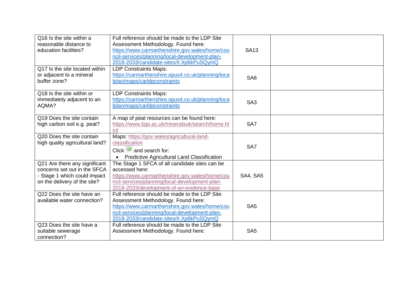| Q16 Is the site within a<br>reasonable distance to<br>education facilities?                                                   | Full reference should be made to the LDP Site<br>Assessment Methodology. Found here:<br>https://www.carmarthenshire.gov.wales/home/cou<br>ncil-services/planning/local-development-plan-<br>2018-2033/candidate-sites/#.Xp6kPuSQymQ | <b>SA13</b>     |  |
|-------------------------------------------------------------------------------------------------------------------------------|-------------------------------------------------------------------------------------------------------------------------------------------------------------------------------------------------------------------------------------|-----------------|--|
| $\overline{Q17}$ Is the site located within<br>or adjacent to a mineral<br>buffer zone?                                       | <b>LDP Constraints Maps:</b><br>https://carmarthenshire.opus4.co.uk/planning/loca<br>Iplan/maps/carldpconstraints                                                                                                                   | SA <sub>6</sub> |  |
| Q18 Is the site within or<br>immediately adjacent to an<br>AQMA?                                                              | <b>LDP Constraints Maps:</b><br>https://carmarthenshire.opus4.co.uk/planning/loca<br>Iplan/maps/carldpconstraints                                                                                                                   | SA <sub>3</sub> |  |
| Q19 Does the site contain<br>high carbon soil e.g. peat?                                                                      | A map of peat resources can be found here:<br>https://www.bgs.ac.uk/mineralsuk/search/home.ht<br>ml                                                                                                                                 | SA7             |  |
| Q20 Does the site contain<br>high quality agricultural land?                                                                  | Maps: https://gov.wales/agricultural-land-<br>classification<br>Click $\bullet$ and search for:<br>Predictive Agricultural Land Classification                                                                                      | SA7             |  |
| Q21 Are there any significant<br>concerns set out in the SFCA<br>- Stage 1 which could impact<br>on the delivery of the site? | The Stage 1 SFCA of all candidate sites can be<br>accessed here:<br>https://www.carmarthenshire.gov.wales/home/cou<br>ncil-services/planning/local-development-plan-<br>2018-2033/development-of-an-evidence-base                   | SA4, SA5        |  |
| Q22 Does the site have an<br>available water connection?                                                                      | Full reference should be made to the LDP Site<br>Assessment Methodology. Found here:<br>https://www.carmarthenshire.gov.wales/home/cou<br>ncil-services/planning/local-development-plan-<br>2018-2033/candidate-sites/#.Xp6kPuSQymQ | SA <sub>5</sub> |  |
| Q23 Does the site have a<br>suitable sewerage<br>connection?                                                                  | Full reference should be made to the LDP Site<br>Assessment Methodology. Found here:                                                                                                                                                | SA <sub>5</sub> |  |